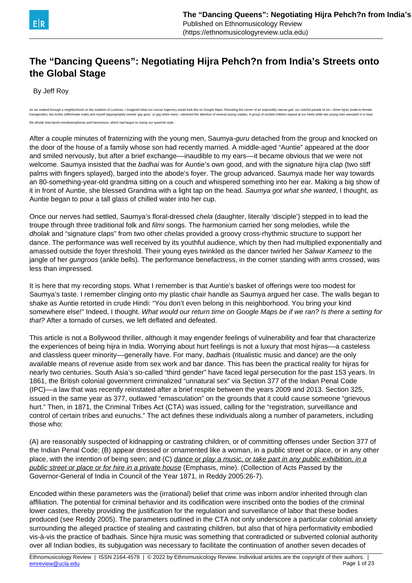

# **The "Dancing Queens": Negotiating Hijra Pehch?n from India's Streets onto the Global Stage**

By Jeff Roy

As we snaked through a neighborhood on the outskirts of Lucknow. I imagined what our course traiectory would look like on Google Maps. Rounding the corner of an impossibly narrow gali, our colorful parade of six-three hirr transgender), two kothis (effeminate male) and myself (appropriately named 'gay gora,' or gay white man)-attracted the attention of several young roadies. A group of excited children nipped at our heels while two young men dholak (two-faced membranophone) and harmonium, which had begun to cramp our queerish style.

After a couple minutes of fraternizing with the young men, Saumya-guru detached from the group and knocked on the door of the house of a family whose son had recently married. A middle-aged "Auntie" appeared at the door and smiled nervously, but after a brief exchange—inaudible to my ears—it became obvious that we were not welcome. Saumya insisted that the *badhai* was for Auntie's own good, and with the signature hijra clap (two stiff palms with fingers splayed), barged into the abode's foyer. The group advanced. Saumya made her way towards an 80-something-year-old grandma sitting on a couch and whispered something into her ear. Making a big show of it in front of Auntie, she blessed Grandma with a light tap on the head. Saumya got what she wanted, I thought, as Auntie began to pour a tall glass of chilled water into her cup.

Once our nerves had settled, Saumya's floral-dressed *chela* (daughter, literally 'disciple') stepped in to lead the troupe through three traditional folk and *filmi* songs. The harmonium carried her song melodies, while the dholak and "signature claps" from two other chelas provided a groovy cross-rhythmic structure to support her dance. The performance was well received by its youthful audience, which by then had multiplied exponentially and amassed outside the foyer threshold. Their young eyes twinkled as the dancer twirled her Salwar Kameez to the jangle of her *gungroos* (ankle bells). The performance benefactress, in the corner standing with arms crossed, was less than impressed.

It is here that my recording stops. What I remember is that Auntie's basket of offerings were too modest for Saumya's taste. I remember clinging onto my plastic chair handle as Saumya argued her case. The walls began to shake as Auntie retorted in crude Hindi: "You don't even belong in this neighborhood. You bring your kind somewhere else!" Indeed, I thought. What would our return time on Google Maps be if we ran? Is there a setting for that? After a tornado of curses, we left deflated and defeated.

This article is not a Bollywood thriller, although it may engender feelings of vulnerability and fear that characterize the experiences of being hijra in India. Worrying about hurt feelings is not a luxury that most hijras––a casteless and classless queer minority––generally have. For many, badhais (ritualistic music and dance) are the only available means of revenue aside from sex work and bar dance. This has been the practical reality for hijras for nearly two centuries. South Asia's so-called "third gender" have faced legal persecution for the past 153 years. In 1861, the British colonial government criminalized "unnatural sex" via Section 377 of the Indian Penal Code (IPC)––a law that was recently reinstated after a brief respite between the years 2009 and 2013. Section 325, issued in the same year as 377, outlawed "emasculation" on the grounds that it could cause someone "grievous hurt." Then, in 1871, the Criminal Tribes Act (CTA) was issued, calling for the "registration, surveillance and control of certain tribes and eunuchs." The act defines these individuals along a number of parameters, including those who:

(A) are reasonably suspected of kidnapping or castrating children, or of committing offenses under Section 377 of the Indian Penal Code; (B) appear dressed or ornamented like a woman, in a public street or place, or in any other place, with the intention of being seen; and (C) dance or play a music, or take part in any public exhibition, in a public street or place or for hire in a private house (Emphasis, mine). (Collection of Acts Passed by the Governor-General of India in Council of the Year 1871, in Reddy 2005:26-7).

Encoded within these parameters was the (irrational) belief that crime was inborn and/or inherited through clan affiliation. The potential for criminal behavior and its codification were inscribed onto the bodies of the criminal lower castes, thereby providing the justification for the regulation and surveillance of labor that these bodies produced (see Reddy 2005). The parameters outlined in the CTA not only underscore a particular colonial anxiety surrounding the alleged practice of stealing and castrating children, but also that of hijra performativity embodied vis-à-vis the practice of badhais. Since hijra music was something that contradicted or subverted colonial authority over all Indian bodies, its subjugation was necessary to facilitate the continuation of another seven decades of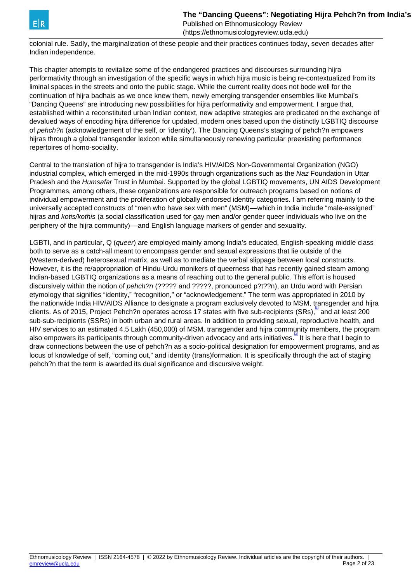<span id="page-1-0"></span>

colonial rule. Sadly, the marginalization of these people and their practices continues today, seven decades after Indian independence.

This chapter attempts to revitalize some of the endangered practices and discourses surrounding hijra performativity through an investigation of the specific ways in which hijra music is being re-contextualized from its liminal spaces in the streets and onto the public stage. While the current reality does not bode well for the continuation of hijra badhais as we once knew them, newly emerging transgender ensembles like Mumbai's "Dancing Queens" are introducing new possibilities for hijra performativity and empowerment. I argue that, established within a reconstituted urban Indian context, new adaptive strategies are predicated on the exchange of devalued ways of encoding hijra difference for updated, modern ones based upon the distinctly LGBTIQ discourse of pehch?n (acknowledgement of the self, or 'identity'). The Dancing Queens's staging of pehch?n empowers hijras through a global transgender lexicon while simultaneously renewing particular preexisting performance repertoires of homo-sociality.

Central to the translation of hijra to transgender is India's HIV/AIDS Non-Governmental Organization (NGO) industrial complex, which emerged in the mid-1990s through organizations such as the Naz Foundation in Uttar Pradesh and the Humsafar Trust in Mumbai. Supported by the global LGBTIQ movements, UN AIDS Development Programmes, among others, these organizations are responsible for outreach programs based on notions of individual empowerment and the proliferation of globally endorsed identity categories. I am referring mainly to the universally accepted constructs of "men who have sex with men" (MSM)––which in India include "male-assigned" hijras and kotis/kothis (a social classification used for gay men and/or gender queer individuals who live on the periphery of the hijra community)––and English language markers of gender and sexuality.

LGBTI, and in particular, Q (queer) are employed mainly among India's educated, English-speaking middle class both to serve as a catch-all meant to encompass gender and sexual expressions that lie outside of the (Western-derived) heterosexual matrix, as well as to mediate the verbal slippage between local constructs. However, it is the re/appropriation of Hindu-Urdu monikers of queerness that has recently gained steam among Indian-based LGBTIQ organizations as a means of reaching out to the general public. This effort is housed discursively within the notion of pehch?n (????? and ?????, pronounced p?t??n), an Urdu word with Persian etymology that signifies "identity," "recognition," or "acknowledgement." The term was appropriated in 2010 by the nationwide India HIV/AIDS Alliance to designate a program exclusively devoted to MSM, transgender and hijra clients. As of 2015, Project Pehch?n operates across 17 states with five sub-recipients (SRs), and at least 200 sub-sub-recipients (SSRs) in both urban and rural areas. In addition to providing sexual, reproductive health, and HIV services to an estimated 4.5 Lakh (450,000) of MSM, transgender and hijra community members, the program also empowers its participants through community-driven advocacy and arts initiatives.<sup>[\[2\]](#page-1-0)</sup> It is here that I begin to draw connections between the use of pehch?n as a socio-political designation for empowerment programs, and as locus of knowledge of self, "coming out," and identity (trans)formation. It is specifically through the act of staging pehch?n that the term is awarded its dual significance and discursive weight.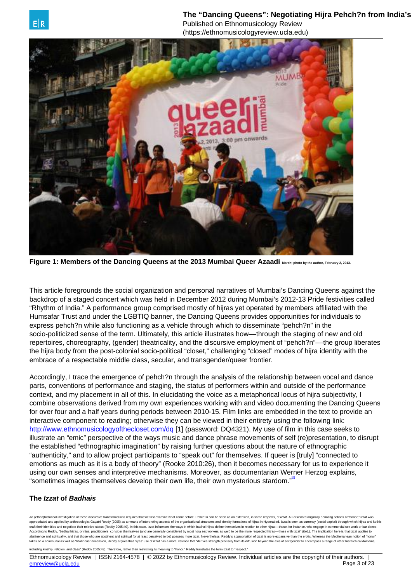The "Dancing Queens": Negotiating Hijra Pehch?n from India's Published on Ethnomusicology Review



<span id="page-2-0"></span>

**Figure 1: Members of the Dancing Queens at the 2013 Mumbai Queer Azaadi** March; photo by the author, February 2, 2013.

This article foregrounds the social organization and personal narratives of Mumbai's Dancing Queens against the backdrop of a staged concert which was held in December 2012 during Mumbai's 2012-13 Pride festivities called "Rhythm of India." A performance group comprised mostly of hijras yet operated by members affiliated with the Humsafar Trust and under the LGBTIQ banner, the Dancing Queens provides opportunities for individuals to express pehch?n while also functioning as a vehicle through which to disseminate "pehch?n" in the socio-politicized sense of the term. Ultimately, this article illustrates how––through the staging of new and old repertoires, choreography, (gender) theatricality, and the discursive employment of "pehch?n"––the group liberates the hijra body from the post-colonial socio-political "closet," challenging "closed" modes of hijra identity with the embrace of a respectable middle class, secular, and transgender/queer frontier.

Accordingly, I trace the emergence of pehch?n through the analysis of the relationship between vocal and dance parts, conventions of performance and staging, the status of performers within and outside of the performance context, and my placement in all of this. In elucidating the voice as a metaphorical locus of hijra subjectivity, I combine observations derived from my own experiences working with and video documenting the Dancing Queens for over four and a half years during periods between 2010-15. Film links are embedded in the text to provide an interactive component to reading; otherwise they can be viewed in their entirety using the following link: <http://www.ethnomusicologyofthecloset.com/dq> [1] (password: DQ4321). My use of film in this case seeks to illustrate an "emic" perspective of the ways music and dance phrase movements of self (re)presentation, to disrupt the established "ethnographic imagination" by raising further questions about the nature of ethnographic "authenticity," and to allow project participants to "speak out" for themselves. If queer is [truly] "connected to emotions as much as it is a body of theory" (Rooke 2010:26), then it becomes necessary for us to experience it using our own senses and interpretive mechanisms. Moreover, as documentarian Werner Herzog explains, "sometimes images themselves develop their own life, their own mysterious stardom."<sup>31</sup>

## **The Izzat of Badhais**

An (ethno)historical investigation of these discursive transformations requires that we first examine what came before. Pehch?n can be seen as an extension, in some respects, of izzat. A Farsi word originally denoting noti appropriated and applied by appropriated by appropriated and kothis as a means of interpretion aspects of the organizational structures and identity formations of bilizes in Hyderabad. Izzat is seen as currency (social cap craft their identities and negotiate their relative status (Reddy 2005:40). In this case, izzat influences the ways in which badhai hijras define themselves in relation to other hijras-those, for instance, who engage in co According to Reddy, "badhai hijras, or ritual practitioners, consider themselves (and are generally considered by most hijra sex workers as well) to be the more respected hijras--those with izzat' (ibid.). The implication e and spirituality, and that those who are abstinent and spiritual (or at least perceived to be) possess more izzat. Nevertheless, Reddy's appropriation of izzat is more expansive than the erotic. Whereas the Medit takes on a communal as well as "libidinous" dimension, Reddy argues that hijras' use of izzat has a moral valence that "derives strength precisely from its diffusion beyond the axis of sex/gender to encompass a range of ot including kinship, religion, and class" (Reddy 2005:43). Therefore, rather than restricting its meaning to "honor," Reddy translates the term izzat to "respect."

Ethnomusicology Review | ISSN 2164-4578 | © 2022 by Ethnomusicology Review. Individual articles are the copyright of their authors. [emreview@ucla.edu](mailto:emreview@ucla.edu) Page 3 of 23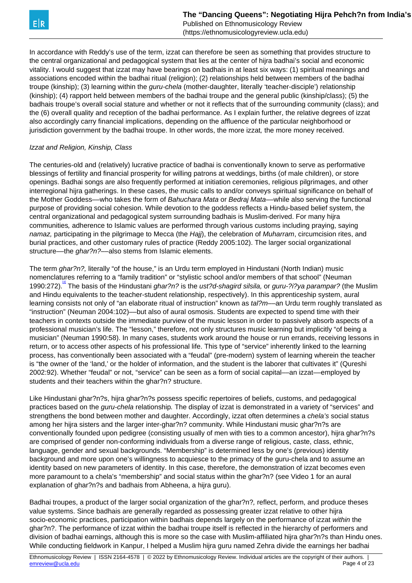(https://ethnomusicologyreview.ucla.edu)

<span id="page-3-0"></span>In accordance with Reddy's use of the term, izzat can therefore be seen as something that provides structure to the central organizational and pedagogical system that lies at the center of hijra badhai's social and economic vitality. I would suggest that izzat may have bearings on badhais in at least six ways: (1) spiritual meanings and associations encoded within the badhai ritual (religion); (2) relationships held between members of the badhai troupe (kinship); (3) learning within the *guru-chela* (mother-daughter, literally 'teacher-disciple') relationship (kinship); (4) rapport held between members of the badhai troupe and the general public (kinship/class); (5) the badhais troupe's overall social stature and whether or not it reflects that of the surrounding community (class); and the (6) overall quality and reception of the badhai performance. As I explain further, the relative degrees of izzat also accordingly carry financial implications, depending on the affluence of the particular neighborhood or jurisdiction government by the badhai troupe. In other words, the more izzat, the more money received.

## Izzat and Religion, Kinship, Class

The centuries-old and (relatively) lucrative practice of badhai is conventionally known to serve as performative blessings of fertility and financial prosperity for willing patrons at weddings, births (of male children), or store openings. Badhai songs are also frequently performed at initiation ceremonies, religious pilgrimages, and other interregional hijra gatherings. In these cases, the music calls to and/or conveys spiritual significance on behalf of the Mother Goddess—who takes the form of Bahuchara Mata or Bedraj Mata—while also serving the functional purpose of providing social cohesion. While devotion to the goddess reflects a Hindu-based belief system, the central organizational and pedagogical system surrounding badhais is Muslim-derived. For many hijra communities, adherence to Islamic values are performed through various customs including praying, saying namaz, participating in the pilgrimage to Mecca (the Hajj), the celebration of Muharram, circumcision rites, and burial practices, and other customary rules of practice (Reddy 2005:102). The larger social organizational structure—the ghar?n?—also stems from Islamic elements.

The term ghar?n?, literally "of the house," is an Urdu term employed in Hindustani (North Indian) music nomenclatures referring to a "family tradition" or "stylistic school and/or members of that school" (Neuman 1990:272).<sup>[\[4\]](#page-3-0)</sup> The basis of the Hindustani ghar?n? is the ust?d-shagird silsila, or guru-?i?ya parampar? (the Muslim and Hindu equivalents to the teacher-student relationship, respectively). In this apprenticeship system, aural learning consists not only of "an elaborate ritual of instruction" known as  $ta!/m$ —an Urdu term roughly translated as "instruction" (Neuman 2004:102)––but also of aural osmosis. Students are expected to spend time with their teachers in contexts outside the immediate purview of the music lesson in order to passively absorb aspects of a professional musician's life. The "lesson," therefore, not only structures music learning but implicitly "of being a musician" (Neuman 1990:58). In many cases, students work around the house or run errands, receiving lessons in return, or to access other aspects of his professional life. This type of "service" inherently linked to the learning process, has conventionally been associated with a "feudal" (pre-modern) system of learning wherein the teacher is "the owner of the 'land,' or the holder of information, and the student is the laborer that cultivates it" (Qureshi 2002:92). Whether "feudal" or not, "service" can be seen as a form of social capital––an izzat––employed by students and their teachers within the ghar?n? structure.

Like Hindustani ghar?n?s, hijra ghar?n?s possess specific repertoires of beliefs, customs, and pedagogical practices based on the guru-chela relationship. The display of izzat is demonstrated in a variety of "services" and strengthens the bond between mother and daughter. Accordingly, izzat often determines a chela's social status among her hijra sisters and the larger inter-ghar?n? community. While Hindustani music ghar?n?s are conventionally founded upon pedigree (consisting usually of men with ties to a common ancestor), hijra ghar?n?s are comprised of gender non-conforming individuals from a diverse range of religious, caste, class, ethnic, language, gender and sexual backgrounds. "Membership" is determined less by one's (previous) identity background and more upon one's willingness to acquiesce to the primacy of the guru-chela and to assume an identity based on new parameters of identity. In this case, therefore, the demonstration of izzat becomes even more paramount to a chela's "membership" and social status within the ghar?n? (see Video 1 for an aural explanation of ghar?n?s and badhais from Abheena, a hijra guru).

Badhai troupes, a product of the larger social organization of the ghar?n?, reflect, perform, and produce theses value systems. Since badhais are generally regarded as possessing greater izzat relative to other hijra socio-economic practices, participation within badhais depends largely on the performance of izzat within the ghar?n?. The performance of izzat within the badhai troupe itself is reflected in the hierarchy of performers and division of badhai earnings, although this is more so the case with Muslim-affiliated hijra ghar?n?s than Hindu ones. While conducting fieldwork in Kanpur, I helped a Muslim hijra guru named Zehra divide the earnings her badhai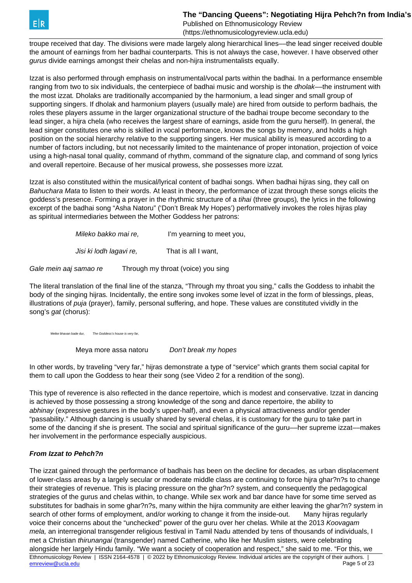troupe received that day. The divisions were made largely along hierarchical lines––the lead singer received double the amount of earnings from her badhai counterparts. This is not always the case, however. I have observed other gurus divide earnings amongst their chelas and non-hijra instrumentalists equally.

Izzat is also performed through emphasis on instrumental/vocal parts within the badhai. In a performance ensemble ranging from two to six individuals, the centerpiece of badhai music and worship is the dholak—the instrument with the most izzat. Dholaks are traditionally accompanied by the harmonium, a lead singer and small group of supporting singers. If dholak and harmonium players (usually male) are hired from outside to perform badhais, the roles these players assume in the larger organizational structure of the badhai troupe become secondary to the lead singer, a hijra chela (who receives the largest share of earnings, aside from the guru herself). In general, the lead singer constitutes one who is skilled in vocal performance, knows the songs by memory, and holds a high position on the social hierarchy relative to the supporting singers. Her musical ability is measured according to a number of factors including, but not necessarily limited to the maintenance of proper intonation, projection of voice using a high-nasal tonal quality, command of rhythm, command of the signature clap, and command of song lyrics and overall repertoire. Because of her musical prowess, she possesses more izzat.

Izzat is also constituted within the musical/lyrical content of badhai songs. When badhai hijras sing, they call on Bahuchara Mata to listen to their words. At least in theory, the performance of izzat through these songs elicits the goddess's presence. Forming a prayer in the rhythmic structure of a tihai (three groups), the lyrics in the following excerpt of the badhai song "Asha Natoru" ('Don't Break My Hopes') performatively invokes the roles hijras play as spiritual intermediaries between the Mother Goddess her patrons:

| Mileko bakko mai re.    | I'm yearning to meet you, |
|-------------------------|---------------------------|
| Jisi ki lodh lagavi re. | That is all I want,       |

Gale mein aaj samao re Through my throat (voice) you sing

The literal translation of the final line of the stanza, "Through my throat you sing," calls the Goddess to inhabit the body of the singing hijras. Incidentally, the entire song invokes some level of izzat in the form of blessings, pleas, illustrations of puja (prayer), family, personal suffering, and hope. These values are constituted vividly in the song's gat (chorus):

Meike bhavan bade dur, The Goddess's house is very far

Meya more assa natoru Don't break my hopes

In other words, by traveling "very far," hijras demonstrate a type of "service" which grants them social capital for them to call upon the Goddess to hear their song (see Video 2 for a rendition of the song).

This type of reverence is also reflected in the dance repertoire, which is modest and conservative. Izzat in dancing is achieved by those possessing a strong knowledge of the song and dance repertoire, the ability to abhinay (expressive gestures in the body's upper-half), and even a physical attractiveness and/or gender "passability." Although dancing is usually shared by several chelas, it is customary for the guru to take part in some of the dancing if she is present. The social and spiritual significance of the guru—her supreme izzat—makes her involvement in the performance especially auspicious.

## **From Izzat to Pehch?n**

The izzat gained through the performance of badhais has been on the decline for decades, as urban displacement of lower-class areas by a largely secular or moderate middle class are continuing to force hijra ghar?n?s to change their strategies of revenue. This is placing pressure on the ghar?n? system, and consequently the pedagogical strategies of the gurus and chelas within, to change. While sex work and bar dance have for some time served as substitutes for badhais in some ghar?n?s, many within the hijra community are either leaving the ghar?n? system in search of other forms of employment, and/or working to change it from the inside-out. Many hijras regularly voice their concerns about the "unchecked" power of the guru over her chelas. While at the 2013 Koovagam mela, an interregional transgender religious festival in Tamil Nadu attended by tens of thousands of individuals, I met a Christian thirunangai (transgender) named Catherine, who like her Muslim sisters, were celebrating alongside her largely Hindu family. "We want a society of cooperation and respect," she said to me. "For this, we Ethnomusicology Review | ISSN 2164-4578 | © 2022 by Ethnomusicology Review. Individual articles are the copyright of their authors. | emreview @ucla.edu Page 5 of 23 [emreview@ucla.edu](mailto:emreview@ucla.edu)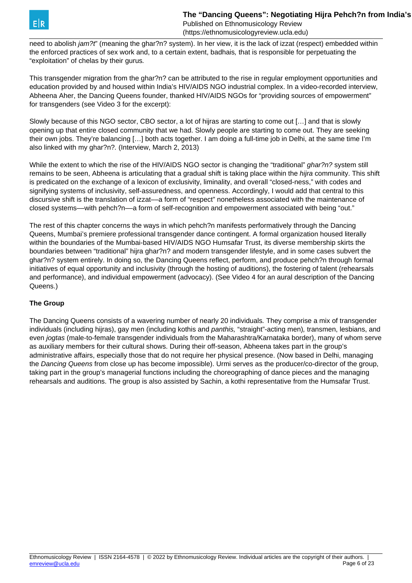

need to abolish jam?t" (meaning the ghar?n? system). In her view, it is the lack of izzat (respect) embedded within the enforced practices of sex work and, to a certain extent, badhais, that is responsible for perpetuating the "exploitation" of chelas by their gurus.

This transgender migration from the ghar?n? can be attributed to the rise in regular employment opportunities and education provided by and housed within India's HIV/AIDS NGO industrial complex. In a video-recorded interview, Abheena Aher, the Dancing Queens founder, thanked HIV/AIDS NGOs for "providing sources of empowerment" for transgenders (see Video 3 for the excerpt):

Slowly because of this NGO sector, CBO sector, a lot of hijras are starting to come out […] and that is slowly opening up that entire closed community that we had. Slowly people are starting to come out. They are seeking their own jobs. They're balancing […] both acts together. I am doing a full-time job in Delhi, at the same time I'm also linked with my ghar?n?. (Interview, March 2, 2013)

While the extent to which the rise of the HIV/AIDS NGO sector is changing the "traditional" ghar?n? system still remains to be seen, Abheena is articulating that a gradual shift is taking place within the *hijra* community. This shift is predicated on the exchange of a lexicon of exclusivity, liminality, and overall "closed-ness," with codes and signifying systems of inclusivity, self-assuredness, and openness. Accordingly, I would add that central to this discursive shift is the translation of izzat––a form of "respect" nonetheless associated with the maintenance of closed systems––with pehch?n––a form of self-recognition and empowerment associated with being "out."

The rest of this chapter concerns the ways in which pehch?n manifests performatively through the Dancing Queens, Mumbai's premiere professional transgender dance contingent. A formal organization housed literally within the boundaries of the Mumbai-based HIV/AIDS NGO Humsafar Trust, its diverse membership skirts the boundaries between "traditional" hijra ghar?n? and modern transgender lifestyle, and in some cases subvert the ghar?n? system entirely. In doing so, the Dancing Queens reflect, perform, and produce pehch?n through formal initiatives of equal opportunity and inclusivity (through the hosting of auditions), the fostering of talent (rehearsals and performance), and individual empowerment (advocacy). (See Video 4 for an aural description of the Dancing Queens.)

## **The Group**

The Dancing Queens consists of a wavering number of nearly 20 individuals. They comprise a mix of transgender individuals (including hijras), gay men (including kothis and panthis, "straight"-acting men), transmen, lesbians, and even *jogtas* (male-to-female transgender individuals from the Maharashtra/Karnataka border), many of whom serve as auxiliary members for their cultural shows. During their off-season, Abheena takes part in the group's administrative affairs, especially those that do not require her physical presence. (Now based in Delhi, managing the Dancing Queens from close up has become impossible). Urmi serves as the producer/co-director of the group, taking part in the group's managerial functions including the choreographing of dance pieces and the managing rehearsals and auditions. The group is also assisted by Sachin, a kothi representative from the Humsafar Trust.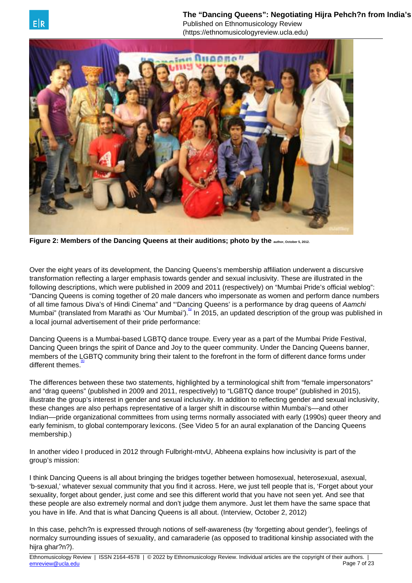The "Dancing Queens": Negotiating Hiira Pehch?n from India's Published on Ethnomusicology Review

(https://ethnomusicologyreview.ucla.edu)

<span id="page-6-0"></span>

**Figure 2: Members of the Dancing Queens at their auditions; photo by the author, October 5, 2012.**

Over the eight years of its development, the Dancing Queens's membership affiliation underwent a discursive transformation reflecting a larger emphasis towards gender and sexual inclusivity. These are illustrated in the following descriptions, which were published in 2009 and 2011 (respectively) on "Mumbai Pride's official weblog": "Dancing Queens is coming together of 20 male dancers who impersonate as women and perform dance numbers of all time famous Diva's of Hindi Cinema" and "'Dancing Queens' is a performance by drag queens of Aamchi Mumbai" (translated from Marathi as 'Our Mumbai'). A In 2015, an updated description of the group was published in a local journal advertisement of their pride performance:

Dancing Queens is a Mumbai-based LGBTQ dance troupe. Every year as a part of the Mumbai Pride Festival, Dancing Queen brings the spirit of Dance and Joy to the queer community. Under the Dancing Queens banner, members of the LGBTQ community bring their talent to the forefront in the form of different dance forms under different themes.<sup>16</sup>

The differences between these two statements, highlighted by a terminological shift from "female impersonators" and "drag queens" (published in 2009 and 2011, respectively) to "LGBTQ dance troupe" (published in 2015), illustrate the group's interest in gender and sexual inclusivity. In addition to reflecting gender and sexual inclusivity, these changes are also perhaps representative of a larger shift in discourse within Mumbai's––and other Indian––pride organizational committees from using terms normally associated with early (1990s) queer theory and early feminism, to global contemporary lexicons. (See Video 5 for an aural explanation of the Dancing Queens membership.)

In another video I produced in 2012 through Fulbright-mtvU, Abheena explains how inclusivity is part of the group's mission:

I think Dancing Queens is all about bringing the bridges together between homosexual, heterosexual, asexual, 'b-sexual,' whatever sexual community that you find it across. Here, we just tell people that is, 'Forget about your sexuality, forget about gender, just come and see this different world that you have not seen yet. And see that these people are also extremely normal and don't judge them anymore. Just let them have the same space that you have in life. And that is what Dancing Queens is all about. (Interview, October 2, 2012)

In this case, pehch?n is expressed through notions of self-awareness (by 'forgetting about gender'), feelings of normalcy surrounding issues of sexuality, and camaraderie (as opposed to traditional kinship associated with the hijra ghar?n?).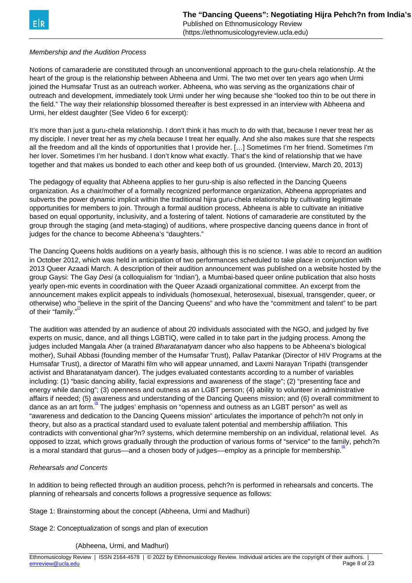## <span id="page-7-0"></span>Membership and the Audition Process

Notions of camaraderie are constituted through an unconventional approach to the guru-chela relationship. At the heart of the group is the relationship between Abheena and Urmi. The two met over ten years ago when Urmi joined the Humsafar Trust as an outreach worker. Abheena, who was serving as the organizations chair of outreach and development, immediately took Urmi under her wing because she "looked too thin to be out there in the field." The way their relationship blossomed thereafter is best expressed in an interview with Abheena and Urmi, her eldest daughter (See Video 6 for excerpt):

It's more than just a guru-chela relationship. I don't think it has much to do with that, because I never treat her as my disciple. I never treat her as my chela because I treat her equally. And she also makes sure that she respects all the freedom and all the kinds of opportunities that I provide her. […] Sometimes I'm her friend. Sometimes I'm her lover. Sometimes I'm her husband. I don't know what exactly. That's the kind of relationship that we have together and that makes us bonded to each other and keep both of us grounded. (Interview, March 20, 2013)

The pedagogy of equality that Abheena applies to her guru-ship is also reflected in the Dancing Queens organization. As a chair/mother of a formally recognized performance organization, Abheena appropriates and subverts the power dynamic implicit within the traditional hijra guru-chela relationship by cultivating legitimate opportunities for members to join. Through a formal audition process, Abheena is able to cultivate an initiative based on equal opportunity, inclusivity, and a fostering of talent. Notions of camaraderie are constituted by the group through the staging (and meta-staging) of auditions, where prospective dancing queens dance in front of judges for the chance to become Abheena's "daughters."

The Dancing Queens holds auditions on a yearly basis, although this is no science. I was able to record an audition in October 2012, which was held in anticipation of two performances scheduled to take place in conjunction with 2013 Queer Azaadi March. A description of their audition announcement was published on a website hosted by the group Gaysi: The Gay Desi (a colloquialism for 'Indian'), a Mumbai-based queer online publication that also hosts yearly open-mic events in coordination with the Queer Azaadi organizational committee. An excerpt from the announcement makes explicit appeals to individuals (homosexual, heterosexual, bisexual, transgender, queer, or otherwise) who "believe in the spirit of the Dancing Queens" and who have the "commitment and talent" to be part of their "family."<sup></sup>

The audition was attended by an audience of about 20 individuals associated with the NGO, and judged by five experts on music, dance, and all things LGBTIQ, were called in to take part in the judging process. Among the judges included Mangala Aher (a trained Bharatanatyam dancer who also happens to be Abheena's biological mother), Suhail Abbasi (founding member of the Humsafar Trust), Pallav Patankar (Director of HIV Programs at the Humsafar Trust), a director of Marathi film who will appear unnamed, and Laxmi Narayan Tripathi (transgender activist and Bharatanatyam dancer). The judges evaluated contestants according to a number of variables including: (1) "basic dancing ability, facial expressions and awareness of the stage"; (2) "presenting face and energy while dancing"; (3) openness and outness as an LGBT person; (4) ability to volunteer in administrative affairs if needed; (5) awareness and understanding of the Dancing Queens mission; and (6) overall commitment to dance as an art form.<sup>[\[8\]](#page-7-0)</sup> The judges' emphasis on "openness and outness as an LGBT person" as well as "awareness and dedication to the Dancing Queens mission" articulates the importance of pehch?n not only in theory, but also as a practical standard used to evaluate talent potential and membership affiliation. This contradicts with conventional ghar?n? systems, which determine membership on an individual, relational level. As opposed to izzat, which grows gradually through the production of various forms of "service" to the family, pehch?n is a moral standard that gurus—and a chosen body of judges—employ as a principle for membership.<sup>[9</sup>]

## Rehearsals and Concerts

In addition to being reflected through an audition process, pehch?n is performed in rehearsals and concerts. The planning of rehearsals and concerts follows a progressive sequence as follows:

Stage 1: Brainstorming about the concept (Abheena, Urmi and Madhuri)

Stage 2: Conceptualization of songs and plan of execution

## (Abheena, Urmi, and Madhuri)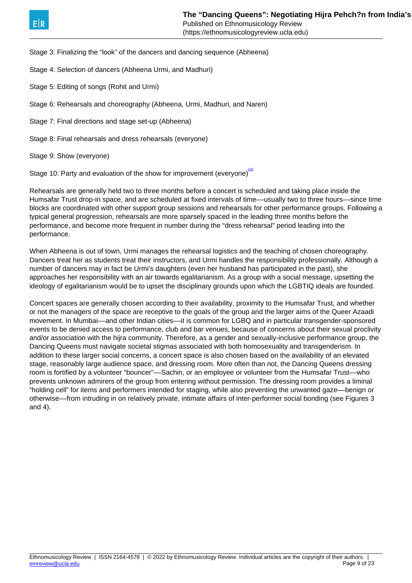<span id="page-8-0"></span>Stage 3: Finalizing the "look" of the dancers and dancing sequence (Abheena)

Stage 4: Selection of dancers (Abheena Urmi, and Madhuri)

Stage 5: Editing of songs (Rohit and Urmi)

Stage 6: Rehearsals and choreography (Abheena, Urmi, Madhuri, and Naren)

Stage 7: Final directions and stage set-up (Abheena)

Stage 8: Final rehearsals and dress rehearsals (everyone)

Stage 9: Show (everyone)

Stage 10: Party and evaluation of the show for improvement (everyone)

Rehearsals are generally held two to three months before a concert is scheduled and taking place inside the Humsafar Trust drop-in space, and are scheduled at fixed intervals of time––usually two to three hours––since time blocks are coordinated with other support group sessions and rehearsals for other performance groups. Following a typical general progression, rehearsals are more sparsely spaced in the leading three months before the performance, and become more frequent in number during the "dress rehearsal" period leading into the performance.

When Abheena is out of town, Urmi manages the rehearsal logistics and the teaching of chosen choreography. Dancers treat her as students treat their instructors, and Urmi handles the responsibility professionally. Although a number of dancers may in fact be Urmi's daughters (even her husband has participated in the past), she approaches her responsibility with an air towards egalitarianism. As a group with a social message, upsetting the ideology of egalitarianism would be to upset the disciplinary grounds upon which the LGBTIQ ideals are founded.

Concert spaces are generally chosen according to their availability, proximity to the Humsafar Trust, and whether or not the managers of the space are receptive to the goals of the group and the larger aims of the Queer Azaadi movement. In Mumbai––and other Indian cities––it is common for LGBQ and in particular transgender-sponsored events to be denied access to performance, club and bar venues, because of concerns about their sexual proclivity and/or association with the hijra community. Therefore, as a gender and sexually-inclusive performance group, the Dancing Queens must navigate societal stigmas associated with both homosexuality and transgenderism. In addition to these larger social concerns, a concert space is also chosen based on the availability of an elevated stage, reasonably large audience space, and dressing room. More often than not, the Dancing Queens dressing room is fortified by a volunteer "bouncer"––Sachin, or an employee or volunteer from the Humsafar Trust––who prevents unknown admirers of the group from entering without permission. The dressing room provides a liminal "holding cell" for items and performers intended for staging, while also preventing the unwanted gaze––benign or otherwise––from intruding in on relatively private, intimate affairs of inter-performer social bonding (see Figures 3 and 4).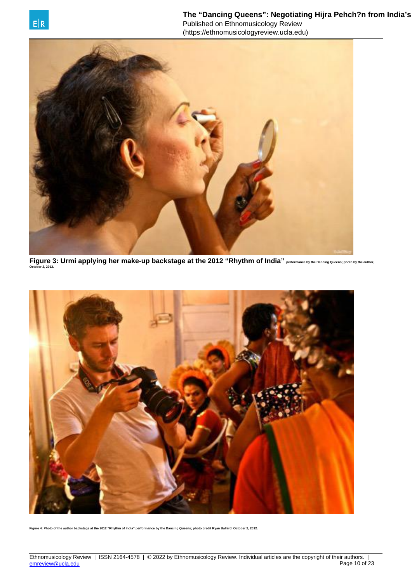

**Figure 3: Urmi applying her make-up backstage at the 2012 "Rhythm of India" performance by the Dancing Queens; photo by the author, October 2, 2012.**



**Figure 4: Photo of the author backstage at the 2012 "Rhythm of India" performance by the Dancing Queens; photo credit Ryan Ballard, October 2, 2012.**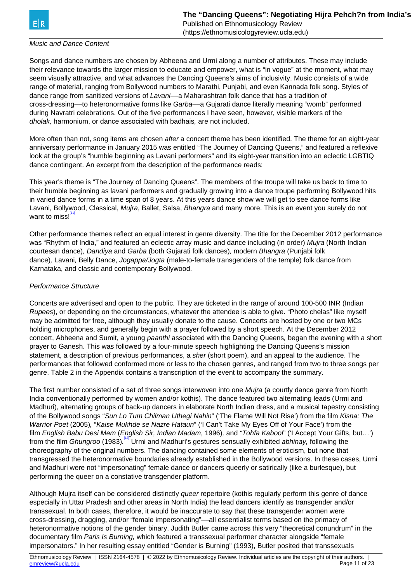## <span id="page-10-0"></span>Music and Dance Content

Songs and dance numbers are chosen by Abheena and Urmi along a number of attributes. These may include their relevance towards the larger mission to educate and empower, what is "in vogue" at the moment, what may seem visually attractive, and what advances the Dancing Queens's aims of inclusivity. Music consists of a wide range of material, ranging from Bollywood numbers to Marathi, Punjabi, and even Kannada folk song. Styles of dance range from sanitized versions of Lavani--- a Maharashtran folk dance that has a tradition of cross-dressing––to heteronormative forms like Garba––a Gujarati dance literally meaning "womb" performed during Navratri celebrations. Out of the five performances I have seen, however, visible markers of the dholak, harmonium, or dance associated with badhais, are not included.

More often than not, song items are chosen after a concert theme has been identified. The theme for an eight-year anniversary performance in January 2015 was entitled "The Journey of Dancing Queens," and featured a reflexive look at the group's "humble beginning as Lavani performers" and its eight-year transition into an eclectic LGBTIQ dance contingent. An excerpt from the description of the performance reads:

This year's theme is "The Journey of Dancing Queens". The members of the troupe will take us back to time to their humble beginning as lavani performers and gradually growing into a dance troupe performing Bollywood hits in varied dance forms in a time span of 8 years. At this years dance show we will get to see dance forms like Lavani, Bollywood, Classical, Mujra, Ballet, Salsa, Bhangra and many more. This is an event you surely do not want to miss!

Other performance themes reflect an equal interest in genre diversity. The title for the December 2012 performance was "Rhythm of India," and featured an eclectic array music and dance including (in order) Mujra (North Indian courtesan dance), Dandiya and Garba (both Gujarati folk dances), modern Bhangra (Punjabi folk dance), Lavani, Belly Dance, Jogappa/Jogta (male-to-female transgenders of the temple) folk dance from Karnataka, and classic and contemporary Bollywood.

## Performance Structure

Concerts are advertised and open to the public. They are ticketed in the range of around 100-500 INR (Indian Rupees), or depending on the circumstances, whatever the attendee is able to give. "Photo chelas" like myself may be admitted for free, although they usually donate to the cause. Concerts are hosted by one or two MCs holding microphones, and generally begin with a prayer followed by a short speech. At the December 2012 concert, Abheena and Sumit, a young paanthi associated with the Dancing Queens, began the evening with a short prayer to Ganesh. This was followed by a four-minute speech highlighting the Dancing Queens's mission statement, a description of previous performances, a *sher* (short poem), and an appeal to the audience. The performances that followed conformed more or less to the chosen genres, and ranged from two to three songs per genre. Table 2 in the Appendix contains a transcription of the event to accompany the summary.

The first number consisted of a set of three songs interwoven into one Mujra (a courtly dance genre from North India conventionally performed by women and/or kothis). The dance featured two alternating leads (Urmi and Madhuri), alternating groups of back-up dancers in elaborate North Indian dress, and a musical tapestry consisting of the Bollywood songs "Sun Lo Tum Chilman Uthegi Nahin" ('The Flame Will Not Rise') from the film Kisna: The Warrior Poet (2005), "Kaise Mukhde se Nazre Hataun" ('I Can't Take My Eyes Off of Your Face') from the film English Babu Desi Mem (English Sir, Indian Madam, 1996), and "Tohfa Kabool" ('I Accept Your Gifts, but…') from the film Ghungroo (1983).<sup>[\[12\]](#page-10-0)</sup> Urmi and Madhuri's gestures sensually exhibited abhinay, following the choreography of the original numbers. The dancing contained some elements of eroticism, but none that transgressed the heteronormative boundaries already established in the Bollywood versions. In these cases, Urmi and Madhuri were not "impersonating" female dance or dancers queerly or satirically (like a burlesque), but performing the queer on a constative transgender platform.

Although Mujra itself can be considered distinctly *queer* repertoire (kothis regularly perform this genre of dance especially in Uttar Pradesh and other areas in North India) the lead dancers identify as transgender and/or transsexual. In both cases, therefore, it would be inaccurate to say that these transgender women were cross-dressing, dragging, and/or "female impersonating"––all essentialist terms based on the primacy of heteronormative notions of the gender binary. Judith Butler came across this very "theoretical conundrum" in the documentary film Paris Is Burning, which featured a transsexual performer character alongside "female impersonators." In her resulting essay entitled "Gender is Burning" (1993), Butler posited that transsexuals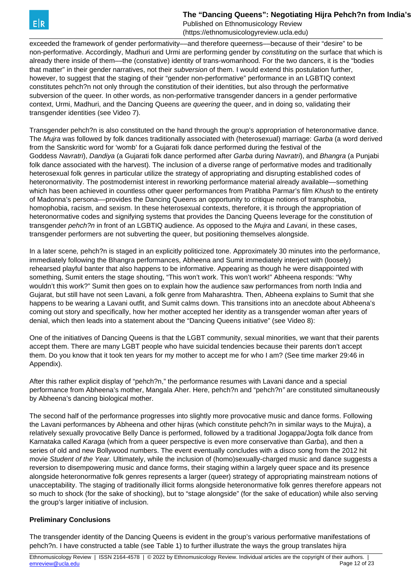The "Dancing Queens": Negotiating Hiira Pehch?n from India's

Published on Ethnomusicology Review (https://ethnomusicologyreview.ucla.edu)

exceeded the framework of gender performativity—and therefore queerness—because of their "desire" to be non-performative. Accordingly, Madhuri and Urmi are performing gender by constituting on the surface that which is already there inside of them––the (constative) identity of trans-womanhood. For the two dancers, it is the "bodies that matter" in their gender narratives, not their subversion of them. I would extend this postulation further, however, to suggest that the staging of their "gender non-performative" performance in an LGBTIQ context constitutes pehch?n not only through the constitution of their identities, but also through the performative subversion of the queer. In other words, as non-performative transgender dancers in a gender performative context, Urmi, Madhuri, and the Dancing Queens are *queering* the queer, and in doing so, validating their transgender identities (see Video 7).

Transgender pehch?n is also constituted on the hand through the group's appropriation of heteronormative dance. The Mujra was followed by folk dances traditionally associated with (heterosexual) marriage: Garba (a word derived from the Sanskritic word for 'womb' for a Gujarati folk dance performed during the festival of the Goddess Navratri), Dandiya (a Gujarati folk dance performed after Garba during Navratri), and Bhangra (a Punjabi folk dance associated with the harvest). The inclusion of a diverse range of performative modes and traditionally heterosexual folk genres in particular utilize the strategy of appropriating and disrupting established codes of heteronormativity. The postmodernist interest in reworking performance material already available––something which has been achieved in countless other queer performances from Pratibha Parmar's film Khush to the entirety of Madonna's persona––provides the Dancing Queens an opportunity to critique notions of transphobia, homophobia, racism, and sexism. In these heterosexual contexts, therefore, it is through the appropriation of heteronormative codes and signifying systems that provides the Dancing Queens leverage for the constitution of transgender *pehch?n* in front of an LGBTIQ audience. As opposed to the *Mujra* and Lavani, in these cases, transgender performers are not subverting the queer, but positioning themselves alongside.

In a later scene, pehch?n is staged in an explicitly politicized tone. Approximately 30 minutes into the performance, immediately following the Bhangra performances, Abheena and Sumit immediately interject with (loosely) rehearsed playful banter that also happens to be informative. Appearing as though he were disappointed with something, Sumit enters the stage shouting, "This won't work. This won't work!" Abheena responds: "Why wouldn't this work?" Sumit then goes on to explain how the audience saw performances from north India and Gujarat, but still have not seen Lavani, a folk genre from Maharashtra. Then, Abheena explains to Sumit that she happens to be wearing a Lavani outfit, and Sumit calms down. This transitions into an anecdote about Abheena's coming out story and specifically, how her mother accepted her identity as a transgender woman after years of denial, which then leads into a statement about the "Dancing Queens initiative" (see Video 8):

One of the initiatives of Dancing Queens is that the LGBT community, sexual minorities, we want that their parents accept them. There are many LGBT people who have suicidal tendencies because their parents don't accept them. Do you know that it took ten years for my mother to accept me for who I am? (See time marker 29:46 in Appendix).

After this rather explicit display of "pehch?n," the performance resumes with Lavani dance and a special performance from Abheena's mother, Mangala Aher. Here, pehch?n and "pehch?n" are constituted simultaneously by Abheena's dancing biological mother.

The second half of the performance progresses into slightly more provocative music and dance forms. Following the Lavani performances by Abheena and other hijras (which constitute pehch?n in similar ways to the Mujra), a relatively sexually provocative Belly Dance is performed, followed by a traditional Jogappa/Jogta folk dance from Karnataka called Karaga (which from a queer perspective is even more conservative than Garba), and then a series of old and new Bollywood numbers. The event eventually concludes with a disco song from the 2012 hit movie Student of the Year. Ultimately, while the inclusion of (homo)sexually-charged music and dance suggests a reversion to disempowering music and dance forms, their staging within a largely queer space and its presence alongside heteronormative folk genres represents a larger (queer) strategy of appropriating mainstream notions of unacceptability. The staging of traditionally illicit forms alongside heteronormative folk genres therefore appears not so much to shock (for the sake of shocking), but to "stage alongside" (for the sake of education) while also serving the group's larger initiative of inclusion.

## **Preliminary Conclusions**

The transgender identity of the Dancing Queens is evident in the group's various performative manifestations of pehch?n. I have constructed a table (see Table 1) to further illustrate the ways the group translates hijra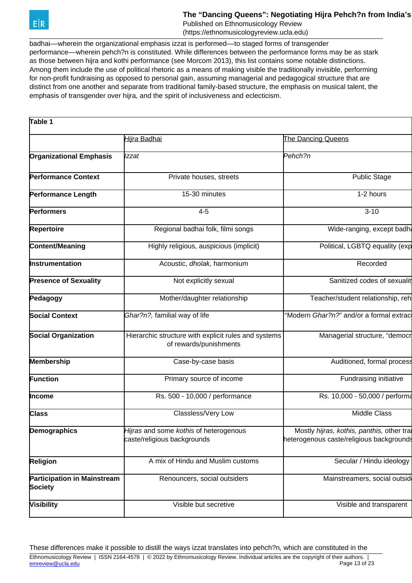

## The "Dancing Queens": Negotiating Hijra Pehch?n from India's

Published on Ethnomusicology Review (https://ethnomusicologyreview.ucla.edu)

badhai––wherein the organizational emphasis izzat is performed––to staged forms of transgender performance––wherein pehch?n is constituted. While differences between the performance forms may be as stark as those between hijra and kothi performance (see Morcom 2013), this list contains some notable distinctions. Among them include the use of political rhetoric as a means of making visible the traditionally invisible, performing for non-profit fundraising as opposed to personal gain, assuming managerial and pedagogical structure that are distinct from one another and separate from traditional family-based structure, the emphasis on musical talent, the emphasis of transgender over hijra, and the spirit of inclusiveness and eclecticism.

| Table 1                                                                                                      |                                         |                                                                                              |
|--------------------------------------------------------------------------------------------------------------|-----------------------------------------|----------------------------------------------------------------------------------------------|
|                                                                                                              | Hijra Badhai                            | The Dancing Queens                                                                           |
| <b>Organizational Emphasis</b>                                                                               | Izzat                                   | Pehch?n                                                                                      |
| <b>Performance Context</b>                                                                                   | Private houses, streets                 | <b>Public Stage</b>                                                                          |
| <b>Performance Length</b>                                                                                    | 15-30 minutes                           | 1-2 hours                                                                                    |
| <b>Performers</b>                                                                                            | $4 - 5$                                 | $3 - 10$                                                                                     |
| <b>Repertoire</b>                                                                                            | Regional badhai folk, filmi songs       | Wide-ranging, except badha                                                                   |
| <b>Content/Meaning</b>                                                                                       | Highly religious, auspicious (implicit) | Political, LGBTQ equality (exp                                                               |
| <b>Instrumentation</b>                                                                                       | Acoustic, dholak, harmonium             | Recorded                                                                                     |
| <b>Presence of Sexuality</b>                                                                                 | Not explicitly sexual                   | Sanitized codes of sexualit                                                                  |
| Pedagogy                                                                                                     | Mother/daughter relationship            | Teacher/student relationship, reh                                                            |
| <b>Social Context</b>                                                                                        | Ghar?n?, familial way of life           | "Modern Ghar?n?" and/or a formal extrac                                                      |
| <b>Social Organization</b><br>Hierarchic structure with explicit rules and systems<br>of rewards/punishments |                                         | Managerial structure, "democr                                                                |
| <b>Membership</b>                                                                                            | Case-by-case basis                      | Auditioned, formal process                                                                   |
| <b>Function</b>                                                                                              | Primary source of income                | Fundraising initiative                                                                       |
| Income                                                                                                       | Rs. 500 - 10,000 / performance          | Rs. 10,000 - 50,000 / performa                                                               |
| <b>Class</b>                                                                                                 | Classless/Very Low                      | <b>Middle Class</b>                                                                          |
| Hijras and some kothis of heterogenous<br>Demographics<br>caste/religious backgrounds                        |                                         | Mostly <i>hijras, kothis, panthis,</i> other tra<br>heterogenous caste/religious backgrounds |
| <b>Religion</b>                                                                                              | A mix of Hindu and Muslim customs       | Secular / Hindu ideology                                                                     |
| <b>Participation in Mainstream</b><br><b>Society</b>                                                         | Renouncers, social outsiders            | Mainstreamers, social outsid                                                                 |
| <b>Visibility</b>                                                                                            | Visible but secretive                   | Visible and transparent                                                                      |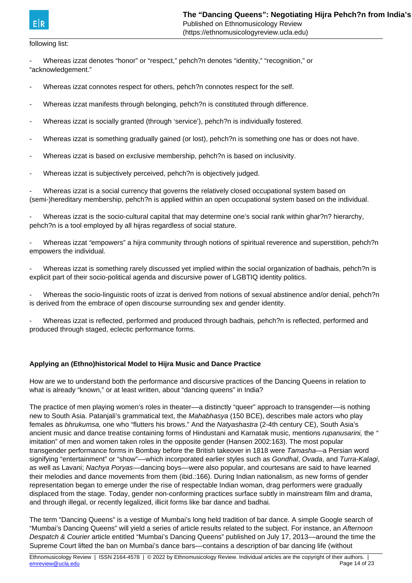## following list:

- Whereas izzat denotes "honor" or "respect," pehch?n denotes "identity," "recognition," or "acknowledgement."

- Whereas izzat connotes respect for others, pehch?n connotes respect for the self.
- Whereas izzat manifests through belonging, pehch?n is constituted through difference.
- Whereas izzat is socially granted (through 'service'), pehch?n is individually fostered.
- Whereas izzat is something gradually gained (or lost), pehch?n is something one has or does not have.
- Whereas izzat is based on exclusive membership, pehch?n is based on inclusivity.
- Whereas izzat is subjectively perceived, pehch?n is objectively judged.

Whereas izzat is a social currency that governs the relatively closed occupational system based on (semi-)hereditary membership, pehch?n is applied within an open occupational system based on the individual.

Whereas izzat is the socio-cultural capital that may determine one's social rank within ghar?n? hierarchy, pehch?n is a tool employed by all hijras regardless of social stature.

Whereas izzat "empowers" a hijra community through notions of spiritual reverence and superstition, pehch?n empowers the individual.

Whereas izzat is something rarely discussed yet implied within the social organization of badhais, pehch?n is explicit part of their socio-political agenda and discursive power of LGBTIQ identity politics.

Whereas the socio-linguistic roots of izzat is derived from notions of sexual abstinence and/or denial, pehch?n is derived from the embrace of open discourse surrounding sex and gender identity.

Whereas izzat is reflected, performed and produced through badhais, pehch?n is reflected, performed and produced through staged, eclectic performance forms.

## **Applying an (Ethno)historical Model to Hijra Music and Dance Practice**

How are we to understand both the performance and discursive practices of the Dancing Queens in relation to what is already "known," or at least written, about "dancing queens" in India?

The practice of men playing women's roles in theater––a distinctly "queer" approach to transgender––is nothing new to South Asia. Patanjali's grammatical text, the Mahabhasya (150 BCE), describes male actors who play females as bhrukumsa, one who "flutters his brows." And the Natyashastra (2-4th century CE), South Asia's ancient music and dance treatise containing forms of Hindustani and Karnatak music, mentions *rupanusarini*, the " imitation" of men and women taken roles in the opposite gender (Hansen 2002:163). The most popular transgender performance forms in Bombay before the British takeover in 1818 were Tamasha—a Persian word signifying "entertainment" or "show"—which incorporated earlier styles such as Gondhal, Ovada, and Turra-Kalagi, as well as Lavani; Nachya Poryas—dancing boys—were also popular, and courtesans are said to have learned their melodies and dance movements from them (ibid.:166). During Indian nationalism, as new forms of gender representation began to emerge under the rise of respectable Indian woman, drag performers were gradually displaced from the stage. Today, gender non-conforming practices surface subtly in mainstream film and drama, and through illegal, or recently legalized, illicit forms like bar dance and badhai.

The term "Dancing Queens" is a vestige of Mumbai's long held tradition of bar dance. A simple Google search of "Mumbai's Dancing Queens" will yield a series of article results related to the subject. For instance, an Afternoon Despatch & Courier article entitled "Mumbai's Dancing Queens" published on July 17, 2013––around the time the Supreme Court lifted the ban on Mumbai's dance bars––contains a description of bar dancing life (without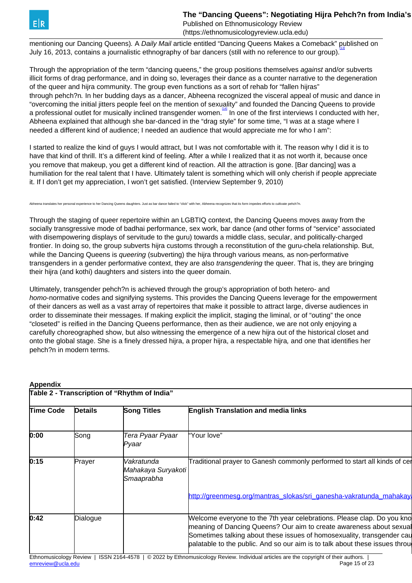<span id="page-14-0"></span>mentioning our Dancing Queens). A Daily Mail article entitled "Dancing Queens Makes a Comeback" published on July 16, 2013, contains a journalistic ethnography of bar dancers (still with no reference to our group).

Through the appropriation of the term "dancing queens," the group positions themselves against and/or subverts illicit forms of drag performance, and in doing so, leverages their dance as a counter narrative to the degeneration of the queer and hijra community. The group even functions as a sort of rehab for "fallen hijras" through pehch?n. In her budding days as a dancer, Abheena recognized the visceral appeal of music and dance in "overcoming the initial jitters people feel on the mention of sexuality" and founded the Dancing Queens to provide a professional outlet for musically inclined transgender women.<sup>[\[14\]](#page-14-0)</sup> In one of the first interviews I conducted with her, Abheena explained that although she bar-danced in the "drag style" for some time, "I was at a stage where I needed a different kind of audience; I needed an audience that would appreciate me for who I am":

I started to realize the kind of guys I would attract, but I was not comfortable with it. The reason why I did it is to have that kind of thrill. It's a different kind of feeling. After a while I realized that it as not worth it, because once you remove that makeup, you get a different kind of reaction. All the attraction is gone. [Bar dancing] was a humiliation for the real talent that I have. Ultimately talent is something which will only cherish if people appreciate it. If I don't get my appreciation, I won't get satisfied. (Interview September 9, 2010)

lates her personal experience to her Dancing Queens daughters. Just as bar dance failed to "click" with her, Abheena recognizes that its form impedes efforts to cultivate pehch?n.

Through the staging of queer repertoire within an LGBTIQ context, the Dancing Queens moves away from the socially transgressive mode of badhai performance, sex work, bar dance (and other forms of "service" associated with disempowering displays of servitude to the guru) towards a middle class, secular, and politically-charged frontier. In doing so, the group subverts hijra customs through a reconstitution of the guru-chela relationship. But, while the Dancing Queens is *queering* (subverting) the hijra through various means, as non-performative transgenders in a gender performative context, they are also *transgendering* the queer. That is, they are bringing their hijra (and kothi) daughters and sisters into the queer domain.

Ultimately, transgender pehch?n is achieved through the group's appropriation of both hetero- and homo-normative codes and signifying systems. This provides the Dancing Queens leverage for the empowerment of their dancers as well as a vast array of repertoires that make it possible to attract large, diverse audiences in order to disseminate their messages. If making explicit the implicit, staging the liminal, or of "outing" the once "closeted" is reified in the Dancing Queens performance, then as their audience, we are not only enjoying a carefully choreographed show, but also witnessing the emergence of a new hijra out of the historical closet and onto the global stage. She is a finely dressed hijra, a proper hijra, a respectable hijra, and one that identifies her pehch?n in modern terms.

| Table 2 - Transcription of "Rhythm of India" |                |                                                |                                                                                                                                                                                                                                                                                                          |
|----------------------------------------------|----------------|------------------------------------------------|----------------------------------------------------------------------------------------------------------------------------------------------------------------------------------------------------------------------------------------------------------------------------------------------------------|
| <b>Time Code</b>                             | <b>Details</b> | <b>Song Titles</b>                             | <b>English Translation and media links</b>                                                                                                                                                                                                                                                               |
| 0:00                                         | Song           | Tera Pyaar Pyaar<br>Pyaar                      | "Your love"                                                                                                                                                                                                                                                                                              |
| 0:15                                         | Prayer         | Vakratunda<br>Mahakaya Suryakoti<br>Smaaprabha | Traditional prayer to Ganesh commonly performed to start all kinds of cer                                                                                                                                                                                                                                |
|                                              |                |                                                | http://greenmesg.org/mantras_slokas/sri_ganesha-vakratunda_mahakaya                                                                                                                                                                                                                                      |
| 0:42                                         | Dialogue       |                                                | Welcome everyone to the 7th year celebrations. Please clap. Do you kno<br>meaning of Dancing Queens? Our aim to create awareness about sexual<br>Sometimes talking about these issues of homosexuality, transgender cau<br>palatable to the public. And so our aim is to talk about these issues through |

#### **Appendix**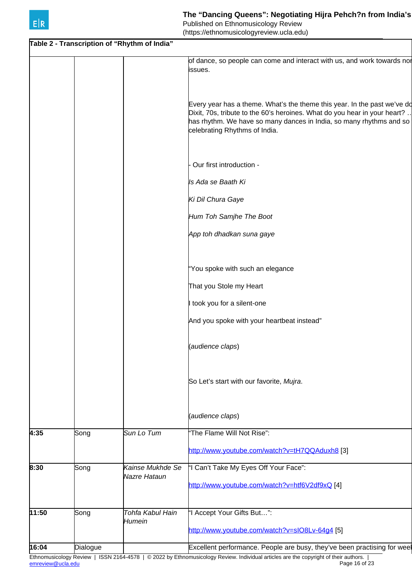**Table 2 - Transcription of "Rhythm of India"**  of dance, so people can come and interact with us, and work towards nor issues. Every year has a theme. What's the theme this year. In the past we've do Dixit, 70s, tribute to the 60's heroines. What do you hear in your heart? .. has rhythm. We have so many dances in India, so many rhythms and so celebrating Rhythms of India. - Our first introduction - Is Ada se Baath Ki Ki Dil Chura Gaye Hum Toh Samjhe The Boot App toh dhadkan suna gaye "You spoke with such an elegance That you Stole my Heart I took you for a silent-one And you spoke with your heartbeat instead" (audience claps) So Let's start with our favorite, Mujra. (audience claps) 4:35 Song Sun Lo Tum The Flame Will Not Rise": <http://www.youtube.com/watch?v=tH7QQAduxh8> [3] **8:30** Song Kainse Mukhde Se Nazre Hataun "I Can't Take My Eyes Off Your Face": <http://www.youtube.com/watch?v=htf6V2df9xQ> [4] **11:50** Song Tohfa Kabul Hain Humein "I Accept Your Gifts But…": <http://www.youtube.com/watch?v=sIO8Lv-64g4> [5] **16:04** Dialogue **Dialogue Commence. People are busy**, they've been practising for wee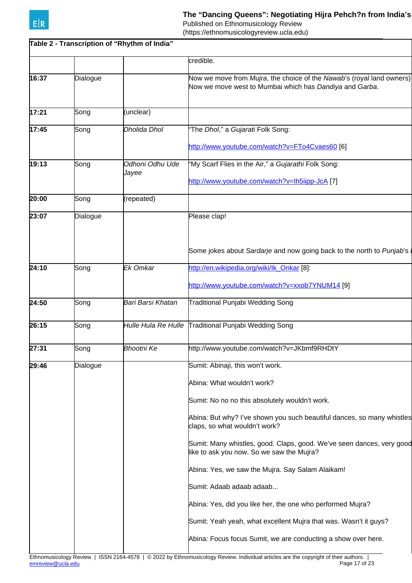

## The "Dancing Queens": Negotiating Hijra Pehch?n from India's

Published on Ethnomusicology Review

(https://ethnomusicologyreview.ucla.edu)

|       |          | Table 2 - Transcription of "Rhythm of India" |                                                                                                                                  |
|-------|----------|----------------------------------------------|----------------------------------------------------------------------------------------------------------------------------------|
|       |          |                                              | credible.                                                                                                                        |
| 16:37 | Dialogue |                                              | Now we move from Mujra, the choice of the Nawab's (royal land owners)<br>Now we move west to Mumbai which has Dandiya and Garba. |
| 17:21 | Song     | (unclear)                                    |                                                                                                                                  |
| 17:45 | Song     | Dholida Dhol                                 | 'The Dhol," a Gujarati Folk Song:                                                                                                |
|       |          |                                              | http://www.youtube.com/watch?v=FTo4Cvaes60 [6]                                                                                   |
| 19:13 | Song     | Odhoni Odhu Ude<br>Jayee                     | "My Scarf Flies in the Air," a Gujarathi Folk Song:<br>http://www.youtube.com/watch?v=lh5iipp-JcA [7]                            |
| 20:00 | Song     | (repeated)                                   |                                                                                                                                  |
| 23:07 | Dialogue |                                              | Please clap!                                                                                                                     |
|       |          |                                              | Some jokes about Sardarje and now going back to the north to Punjab's                                                            |
| 24:10 | Song     | Ek Omkar                                     | http://en.wikipedia.org/wiki/lk_Onkar [8]:                                                                                       |
|       |          |                                              | http://www.youtube.com/watch?v=xxob7YNUM14 [9]                                                                                   |
| 24:50 | Song     | Bari Barsi Khatan                            | Traditional Punjabi Wedding Song                                                                                                 |
| 26:15 | Song     | Hulle Hula Re Hulle                          | Traditional Punjabi Wedding Song                                                                                                 |
| 27:31 | Song     | <b>Bhootni Ke</b>                            | http://www.youtube.com/watch?v=JKbmf9RHDtY                                                                                       |
| 29:46 | Dialogue |                                              | Sumit: Abinaji, this won't work.                                                                                                 |
|       |          |                                              | Abina: What wouldn't work?                                                                                                       |
|       |          |                                              | Sumit: No no no this absolutely wouldn't work.                                                                                   |
|       |          |                                              | Abina: But why? I've shown you such beautiful dances, so many whistles<br>claps, so what wouldn't work?                          |
|       |          |                                              | Sumit: Many whistles, good. Claps, good. We've seen dances, very good<br>like to ask you now. So we saw the Mujra?               |
|       |          |                                              | Abina: Yes, we saw the Mujra. Say Salam Alaikam!                                                                                 |
|       |          |                                              | Sumit: Adaab adaab adaab                                                                                                         |
|       |          |                                              | Abina: Yes, did you like her, the one who performed Mujra?                                                                       |
|       |          |                                              | Sumit: Yeah yeah, what excellent Mujra that was. Wasn't it guys?                                                                 |
|       |          |                                              | Abina: Focus focus Sumit, we are conducting a show over here.                                                                    |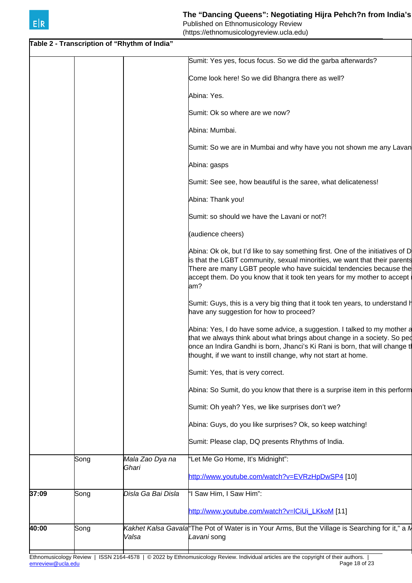|       |      | Table 2 - Transcription of "Rhythm of India" |                                                                                                                                                                                                                                                                                                                      |
|-------|------|----------------------------------------------|----------------------------------------------------------------------------------------------------------------------------------------------------------------------------------------------------------------------------------------------------------------------------------------------------------------------|
|       |      |                                              | Sumit: Yes yes, focus focus. So we did the garba afterwards?                                                                                                                                                                                                                                                         |
|       |      |                                              | Come look here! So we did Bhangra there as well?                                                                                                                                                                                                                                                                     |
|       |      |                                              | Abina: Yes.                                                                                                                                                                                                                                                                                                          |
|       |      |                                              | Sumit: Ok so where are we now?                                                                                                                                                                                                                                                                                       |
|       |      |                                              | Abina: Mumbai.                                                                                                                                                                                                                                                                                                       |
|       |      |                                              | Sumit: So we are in Mumbai and why have you not shown me any Lavan                                                                                                                                                                                                                                                   |
|       |      |                                              | Abina: gasps                                                                                                                                                                                                                                                                                                         |
|       |      |                                              | Sumit: See see, how beautiful is the saree, what delicateness!                                                                                                                                                                                                                                                       |
|       |      |                                              | Abina: Thank you!                                                                                                                                                                                                                                                                                                    |
|       |      |                                              | Sumit: so should we have the Lavani or not?!                                                                                                                                                                                                                                                                         |
|       |      |                                              | (audience cheers)                                                                                                                                                                                                                                                                                                    |
|       |      |                                              | Abina: Ok ok, but I'd like to say something first. One of the initiatives of D<br>is that the LGBT community, sexual minorities, we want that their parents<br>There are many LGBT people who have suicidal tendencies because the<br>accept them. Do you know that it took ten years for my mother to accept<br>am? |
|       |      |                                              | Sumit: Guys, this is a very big thing that it took ten years, to understand h<br>have any suggestion for how to proceed?                                                                                                                                                                                             |
|       |      |                                              | Abina: Yes, I do have some advice, a suggestion. I talked to my mother a<br>that we always think about what brings about change in a society. So ped<br>once an Indira Gandhi is born, Jhanci's Ki Rani is born, that will change t<br>thought, if we want to instill change, why not start at home.                 |
|       |      |                                              | Sumit: Yes, that is very correct.                                                                                                                                                                                                                                                                                    |
|       |      |                                              | Abina: So Sumit, do you know that there is a surprise item in this perform                                                                                                                                                                                                                                           |
|       |      |                                              | Sumit: Oh yeah? Yes, we like surprises don't we?                                                                                                                                                                                                                                                                     |
|       |      |                                              | Abina: Guys, do you like surprises? Ok, so keep watching!                                                                                                                                                                                                                                                            |
|       |      |                                              | Sumit: Please clap, DQ presents Rhythms of India.                                                                                                                                                                                                                                                                    |
|       | Song | Mala Zao Dya na                              | "Let Me Go Home, It's Midnight":                                                                                                                                                                                                                                                                                     |
|       |      | Ghari                                        | http://www.youtube.com/watch?v=EVRzHpDwSP4 [10]                                                                                                                                                                                                                                                                      |
| 37:09 | Song | Disla Ga Bai Disla                           | 'I Saw Him, I Saw Him":                                                                                                                                                                                                                                                                                              |
|       |      |                                              | http://www.youtube.com/watch?v=lCiUi LKkoM [11]                                                                                                                                                                                                                                                                      |
| 40:00 | Song | Valsa                                        | Kakhet Kalsa Gavala The Pot of Water is in Your Arms, But the Village is Searching for it," a N<br>Lavani song                                                                                                                                                                                                       |
|       |      |                                              |                                                                                                                                                                                                                                                                                                                      |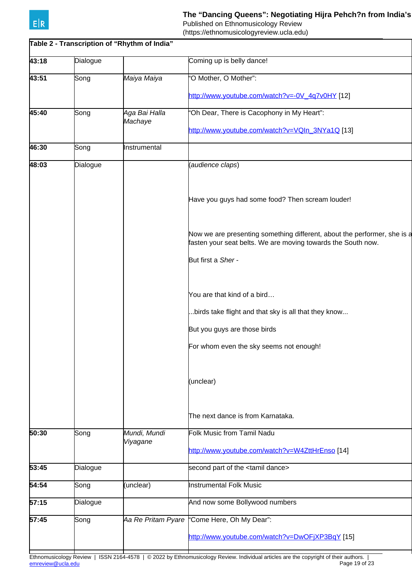

# The "Dancing Queens": Negotiating Hijra Pehch?n from India's

Published on Ethnomusicology Review

(https://ethnomusicologyreview.ucla.edu)

|       |          | Table 2 - Transcription of "Rhythm of India" |                                                                                                                                          |
|-------|----------|----------------------------------------------|------------------------------------------------------------------------------------------------------------------------------------------|
| 43:18 | Dialogue |                                              | Coming up is belly dance!                                                                                                                |
| 43:51 | Song     | Maiya Maiya                                  | 'O Mother, O Mother":                                                                                                                    |
|       |          |                                              | http://www.youtube.com/watch?v=-0V_4q7v0HY [12]                                                                                          |
| 45:40 | Song     | Aga Bai Halla<br>Machaye                     | 'Oh Dear, There is Cacophony in My Heart":                                                                                               |
|       |          |                                              | http://www.youtube.com/watch?v=VQIn_3NYa1Q [13]                                                                                          |
| 46:30 | Song     | Instrumental                                 |                                                                                                                                          |
| 48:03 | Dialogue |                                              | (audience claps)                                                                                                                         |
|       |          |                                              | Have you guys had some food? Then scream louder!                                                                                         |
|       |          |                                              | Now we are presenting something different, about the performer, she is a<br>fasten your seat belts. We are moving towards the South now. |
|       |          |                                              | But first a Sher -                                                                                                                       |
|       |          |                                              | You are that kind of a bird                                                                                                              |
|       |          |                                              | birds take flight and that sky is all that they know                                                                                     |
|       |          |                                              | But you guys are those birds                                                                                                             |
|       |          |                                              | For whom even the sky seems not enough!                                                                                                  |
|       |          |                                              | (unclear)                                                                                                                                |
|       |          |                                              | lThe next dance is from Karnataka.                                                                                                       |
| 50:30 | Song     | Mundi, Mundi<br>Viyagane                     | Folk Music from Tamil Nadu                                                                                                               |
|       |          |                                              | http://www.youtube.com/watch?v=W4ZttHrEnso [14]                                                                                          |
| 53:45 | Dialogue |                                              | second part of the <tamil dance=""></tamil>                                                                                              |
| 54:54 | Song     | (unclear)                                    | <b>Instrumental Folk Music</b>                                                                                                           |
| 57:15 | Dialogue |                                              | And now some Bollywood numbers                                                                                                           |
| 57:45 | Song     | Aa Re Pritam Pyare                           | "Come Here, Oh My Dear":                                                                                                                 |
|       |          |                                              | http://www.youtube.com/watch?v=DwOFjXP3BqY [15]                                                                                          |
|       |          |                                              |                                                                                                                                          |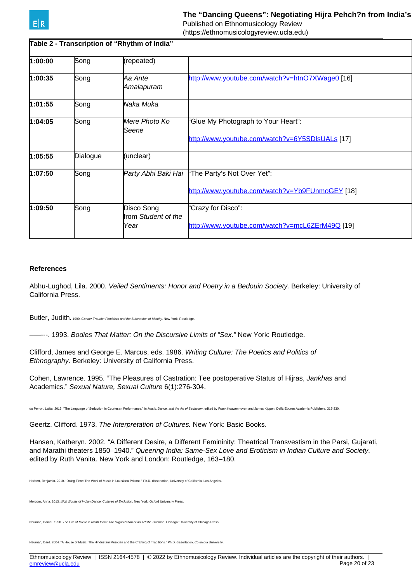(https://ethnomusicologyreview.ucla.edu)

| Table 2 - Transcription of "Rhythm of India" |          |                                           |                                                                                        |
|----------------------------------------------|----------|-------------------------------------------|----------------------------------------------------------------------------------------|
| 1:00:00                                      | Song     | (repeated)                                |                                                                                        |
| 1:00:35                                      | Song     | Aa Ante<br>Amalapuram                     | http://www.youtube.com/watch?v=htnO7XWage0 [16]                                        |
| 1:01:55                                      | Song     | Naka Muka                                 |                                                                                        |
| 1:04:05                                      | Song     | Mere Photo Ko<br>Seene                    | 'Glue My Photograph to Your Heart":<br>http://www.youtube.com/watch?v=6Y5SDIsUALs [17] |
| 1:05:55                                      | Dialogue | (unclear)                                 |                                                                                        |
| 1:07:50                                      | Song     | Party Abhi Baki Hai                       | "The Party's Not Over Yet":<br>http://www.youtube.com/watch?v=Yb9FUnmoGEY [18]         |
| 1:09:50                                      | Song     | Disco Song<br>from Student of the<br>Year | "Crazy for Disco":<br>http://www.youtube.com/watch?v=mcL6ZErM49Q [19]                  |

## **References**

Abhu-Lughod, Lila. 2000. Veiled Sentiments: Honor and Poetry in a Bedouin Society. Berkeley: University of California Press.

Butler, Judith. 1990. Gender Trouble: Feminism and the Subversion of Identity. New York: Routledge

–––---. 1993. Bodies That Matter: On the Discursive Limits of "Sex." New York: Routledge.

Clifford, James and George E. Marcus, eds. 1986. Writing Culture: The Poetics and Politics of Ethnography. Berkeley: University of California Press.

Cohen, Lawrence. 1995. "The Pleasures of Castration: Tee postoperative Status of Hijras, Jankhas and Academics." Sexual Nature, Sexual Culture 6(1):276-304.

du Perron, Lalita. 2013. "The Language of Seduction in Courtesan Performance." In Music, Dance, and the Art of Seduction, edited by Frank Kouwenhoven and James Kippen. Delft: Eburon Academic Publishers, 317-330.

Geertz, Clifford. 1973. The Interpretation of Cultures. New York: Basic Books.

Hansen, Katheryn. 2002. "A Different Desire, a Different Femininity: Theatrical Transvestism in the Parsi, Gujarati, and Marathi theaters 1850–1940." Queering India: Same-Sex Love and Eroticism in Indian Culture and Society, edited by Ruth Vanita. New York and London: Routledge, 163–180.

Harbert, Benjamin. 2010. "Doing Time: The Work of Music in Louisiana Prisons." Ph.D. dissertation, University of California, Los Angeles.

Iorcom, Anna. 2013. *Illicit Worlds of Indian Dance: Cultures of Exclusion.* New York: Oxford University Press

Neuman, Daniel. 1990. The Life of Music in North India: The Organization of an Artistic Tradition. Chicago: University of Chicago Press.

n, Dard. 2004. "A House of Music: The Hindustani Musician and the Crafting of Traditions." Ph.D. dissertation, Columbia University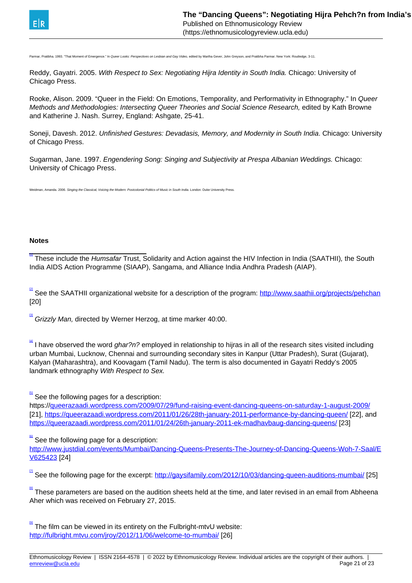<span id="page-20-0"></span>

Parmar, Pratibha. 1993. "That Moment of Emergence." In Queer Looks: Perspectives on Lesbian and Gay Video, edited by Martha Gever, John Greyson, and Pratibha Parmar. New York: Routledge, 3-11.

Reddy, Gayatri. 2005. With Respect to Sex: Negotiating Hijra Identity in South India. Chicago: University of Chicago Press.

Rooke, Alison. 2009. "Queer in the Field: On Emotions, Temporality, and Performativity in Ethnography." In Queer Methods and Methodologies: Intersecting Queer Theories and Social Science Research, edited by Kath Browne and Katherine J. Nash. Surrey, England: Ashgate, 25-41.

Soneji, Davesh. 2012. Unfinished Gestures: Devadasis, Memory, and Modernity in South India. Chicago: University of Chicago Press.

Sugarman, Jane. 1997. Engendering Song: Singing and Subjectivity at Prespa Albanian Weddings. Chicago: University of Chicago Press.

Weidman, Amanda. 2006. Singing the Classical, Voicing the Modern: Postcolonial Politics of Music in South India. London: Duke University Pr

## **Notes**

 $\blacksquare$  These include the Humsafar Trust, Solidarity and Action against the HIV Infection in India (SAATHII), the South India AIDS Action Programme (SIAAP), Sangama, and Alliance India Andhra Pradesh (AIAP).

 $^{[2]}$  $^{[2]}$  $^{[2]}$  See the SAATHII organizational website for a description of the program: <u>http://www.saathii.org/projects/pehchan</u> [20]

 $^{\boxplus}$  Grizzly *Man,* directed by Werner Herzog, at time marker 40:00.

 $4$  I have observed the word *ghar?n?* employed in relationship to hijras in all of the research sites visited including urban Mumbai, Lucknow, Chennai and surrounding secondary sites in Kanpur (Uttar Pradesh), Surat (Gujarat), Kalyan (Maharashtra), and Koovagam (Tamil Nadu). The term is also documented in Gayatri Reddy's 2005 landmark ethnography With Respect to Sex.

 $\frac{5}{3}$  See the following pages for a description:

https://[queerazaadi.wordpress.com/2009/07/29/fund-raising-event-dancing-queens-on-saturday-1-august-2009/](http://queerazaadi.wordpress.com/2009/07/29/fund-raising-event-dancing-queens-on-saturday-1-august-2009/) [21], <https://queerazaadi.wordpress.com/2011/01/26/28th-january-2011-performance-by-dancing-queen/> [22], and <https://queerazaadi.wordpress.com/2011/01/24/26th-january-2011-ek-madhavbaug-dancing-queens/> [23]

[\[6\]](#page-20-0) See the following page for a description:

[http://www.justdial.com/events/Mumbai/Dancing-Queens-Presents-The-Journey-of-Dancing-Queens-Woh-7-Saal/E](http://www.justdial.com/events/Mumbai/Dancing-Queens-Presents-The-Journey-of-Dancing-Queens-Woh-7-Saal/EV625423) [V625423](http://www.justdial.com/events/Mumbai/Dancing-Queens-Presents-The-Journey-of-Dancing-Queens-Woh-7-Saal/EV625423) [24]

[\[7\]](#page-20-0) See the following page for the excerpt: <http://gaysifamily.com/2012/10/03/dancing-queen-auditions-mumbai/> [25]

**ELA** These parameters are based on the audition sheets held at the time, and later revised in an email from Abheena Aher which was received on February 27, 2015.

 $\mathbb{P}$  The film can be viewed in its entirety on the Fulbright-mtvU website: <http://fulbright.mtvu.com/jroy/2012/11/06/welcome-to-mumbai/> [26]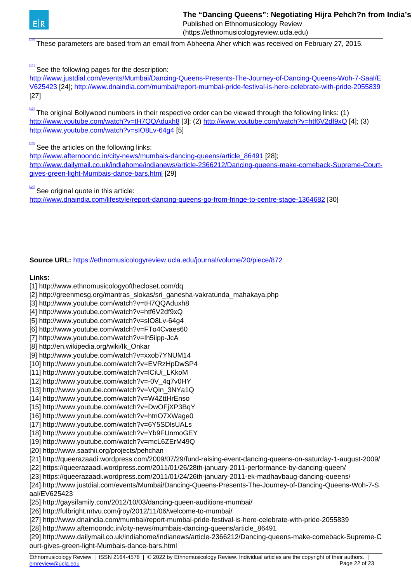<span id="page-21-0"></span>

[\[10\]](#page-21-0) These parameters are based from an email from Abheena Aher which was received on February 27, 2015.

[\[11\]](#page-21-0) See the following pages for the description:

[http://www.justdial.com/events/Mumbai/Dancing-Queens-Presents-The-Journey-of-Dancing-Queens-Woh-7-Saal/E](http://www.justdial.com/events/Mumbai/Dancing-Queens-Presents-The-Journey-of-Dancing-Queens-Woh-7-Saal/EV625423) [V625423](http://www.justdial.com/events/Mumbai/Dancing-Queens-Presents-The-Journey-of-Dancing-Queens-Woh-7-Saal/EV625423) [24]; <http://www.dnaindia.com/mumbai/report-mumbai-pride-festival-is-here-celebrate-with-pride-2055839> [27]

<sup>121</sup> The original Bollywood numbers in their respective order can be viewed through the following links: (1) <http://www.youtube.com/watch?v=tH7QQAduxh8> [3]; (2)<http://www.youtube.com/watch?v=htf6V2df9xQ> [4]; (3) http://www.youtube.com/watch?v=sIO8Lv-64q4 [5]

[\[13\]](#page-21-0) See the articles on the following links:

[http://www.afternoondc.in/city-news/mumbais-dancing-queens/article\\_86491](http://www.afternoondc.in/city-news/mumbais-dancing-queens/article_86491) [28]; [http://www.dailymail.co.uk/indiahome/indianews/article-2366212/Dancing-queens-make-comeback-Supreme-Court](http://www.dailymail.co.uk/indiahome/indianews/article-2366212/Dancing-queens-make-comeback-Supreme-Court-gives-green-light-Mumbais-dance-bars.html)[gives-green-light-Mumbais-dance-bars.html](http://www.dailymail.co.uk/indiahome/indianews/article-2366212/Dancing-queens-make-comeback-Supreme-Court-gives-green-light-Mumbais-dance-bars.html) [29]

[\[14\]](#page-21-0) See original quote in this article: <http://www.dnaindia.com/lifestyle/report-dancing-queens-go-from-fringe-to-centre-stage-1364682> [30]

## **Source URL:** <https://ethnomusicologyreview.ucla.edu/journal/volume/20/piece/872>

## **Links:**

- [1] http://www.ethnomusicologyofthecloset.com/dq
- [2] http://greenmesg.org/mantras\_slokas/sri\_ganesha-vakratunda\_mahakaya.php
- [3] http://www.youtube.com/watch?v=tH7QQAduxh8
- [4] http://www.youtube.com/watch?v=htf6V2df9xQ
- [5] http://www.youtube.com/watch?v=sIO8Lv-64g4
- [6] http://www.youtube.com/watch?v=FTo4Cvaes60
- [7] http://www.youtube.com/watch?v=Ih5iipp-JcA
- [8] http://en.wikipedia.org/wiki/Ik\_Onkar
- [9] http://www.youtube.com/watch?v=xxob7YNUM14
- [10] http://www.youtube.com/watch?v=EVRzHpDwSP4
- [11] http://www.youtube.com/watch?v=lCiUi\_LKkoM
- [12] http://www.youtube.com/watch?v=-0V\_4q7v0HY
- [13] http://www.youtube.com/watch?v=VQIn\_3NYa1Q
- [14] http://www.youtube.com/watch?v=W4ZttHrEnso
- [15] http://www.youtube.com/watch?v=DwOFjXP3BqY
- [16] http://www.youtube.com/watch?v=htnO7XWage0
- [17] http://www.youtube.com/watch?v=6Y5SDlsUALs
- [18] http://www.youtube.com/watch?v=Yb9FUnmoGEY
- [19] http://www.youtube.com/watch?v=mcL6ZErM49Q
- [20] http://www.saathii.org/projects/pehchan
- [21] http://queerazaadi.wordpress.com/2009/07/29/fund-raising-event-dancing-queens-on-saturday-1-august-2009/
- [22] https://queerazaadi.wordpress.com/2011/01/26/28th-january-2011-performance-by-dancing-queen/
- [23] https://queerazaadi.wordpress.com/2011/01/24/26th-january-2011-ek-madhavbaug-dancing-queens/

[24] http://www.justdial.com/events/Mumbai/Dancing-Queens-Presents-The-Journey-of-Dancing-Queens-Woh-7-S aal/EV625423

- [25] http://gaysifamily.com/2012/10/03/dancing-queen-auditions-mumbai/
- [26] http://fulbright.mtvu.com/jroy/2012/11/06/welcome-to-mumbai/
- [27] http://www.dnaindia.com/mumbai/report-mumbai-pride-festival-is-here-celebrate-with-pride-2055839
- [28] http://www.afternoondc.in/city-news/mumbais-dancing-queens/article\_86491

[29] http://www.dailymail.co.uk/indiahome/indianews/article-2366212/Dancing-queens-make-comeback-Supreme-C ourt-gives-green-light-Mumbais-dance-bars.html